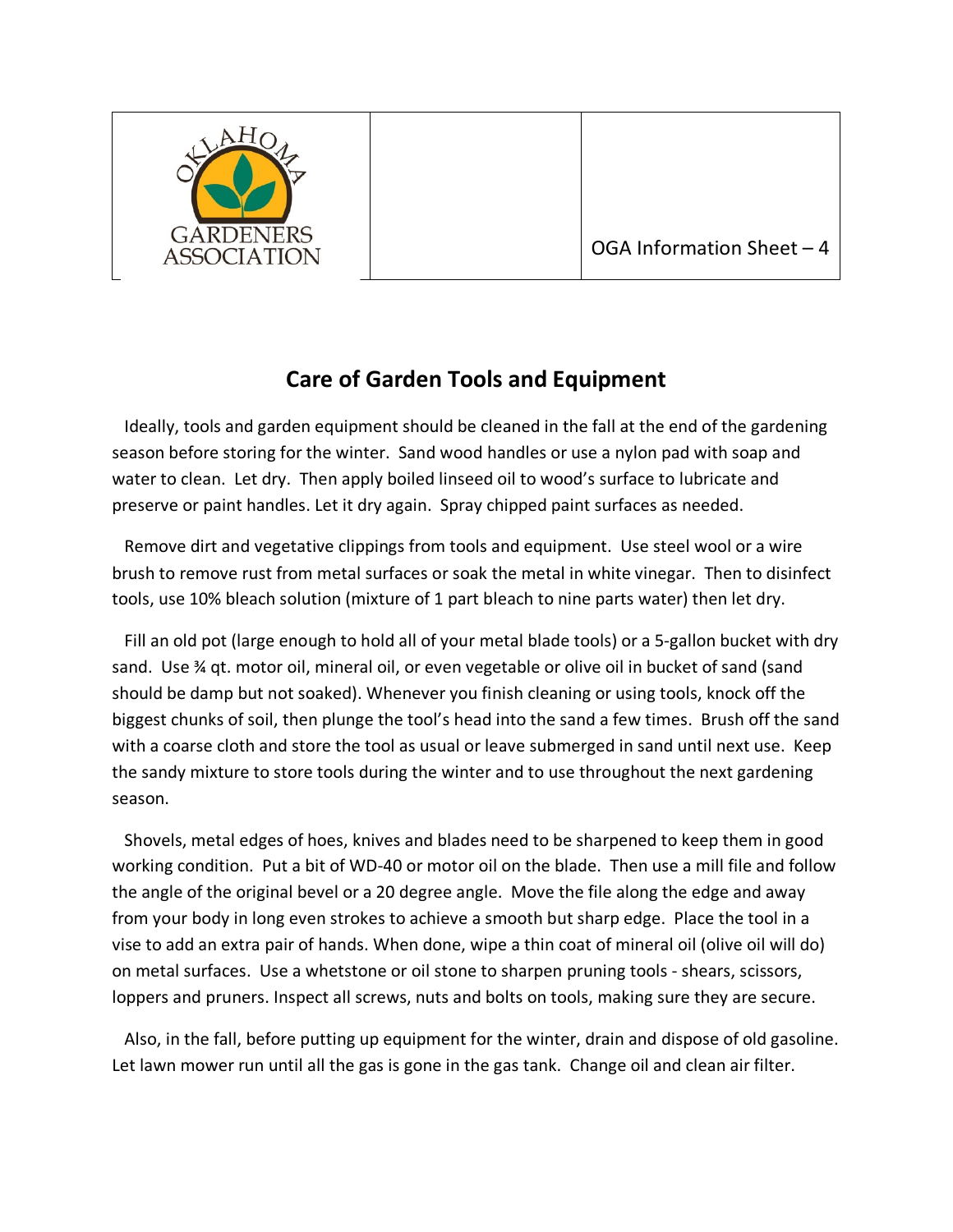

OGA Information Sheet – 4

## **Care of Garden Tools and Equipment**

I

 Ideally, tools and garden equipment should be cleaned in the fall at the end of the gardening season before storing for the winter. Sand wood handles or use a nylon pad with soap and water to clean. Let dry. Then apply boiled linseed oil to wood's surface to lubricate and preserve or paint handles. Let it dry again. Spray chipped paint surfaces as needed.

 Remove dirt and vegetative clippings from tools and equipment. Use steel wool or a wire brush to remove rust from metal surfaces or soak the metal in white vinegar. Then to disinfect tools, use 10% bleach solution (mixture of 1 part bleach to nine parts water) then let dry.

 Fill an old pot (large enough to hold all of your metal blade tools) or a 5-gallon bucket with dry sand. Use % qt. motor oil, mineral oil, or even vegetable or olive oil in bucket of sand (sand should be damp but not soaked). Whenever you finish cleaning or using tools, knock off the biggest chunks of soil, then plunge the tool's head into the sand a few times. Brush off the sand with a coarse cloth and store the tool as usual or leave submerged in sand until next use. Keep the sandy mixture to store tools during the winter and to use throughout the next gardening season.

 Shovels, metal edges of hoes, knives and blades need to be sharpened to keep them in good working condition. Put a bit of WD-40 or motor oil on the blade. Then use a mill file and follow the angle of the original bevel or a 20 degree angle. Move the file along the edge and away from your body in long even strokes to achieve a smooth but sharp edge. Place the tool in a vise to add an extra pair of hands. When done, wipe a thin coat of mineral oil (olive oil will do) on metal surfaces. Use a whetstone or oil stone to sharpen pruning tools - shears, scissors, loppers and pruners. Inspect all screws, nuts and bolts on tools, making sure they are secure.

 Also, in the fall, before putting up equipment for the winter, drain and dispose of old gasoline. Let lawn mower run until all the gas is gone in the gas tank. Change oil and clean air filter.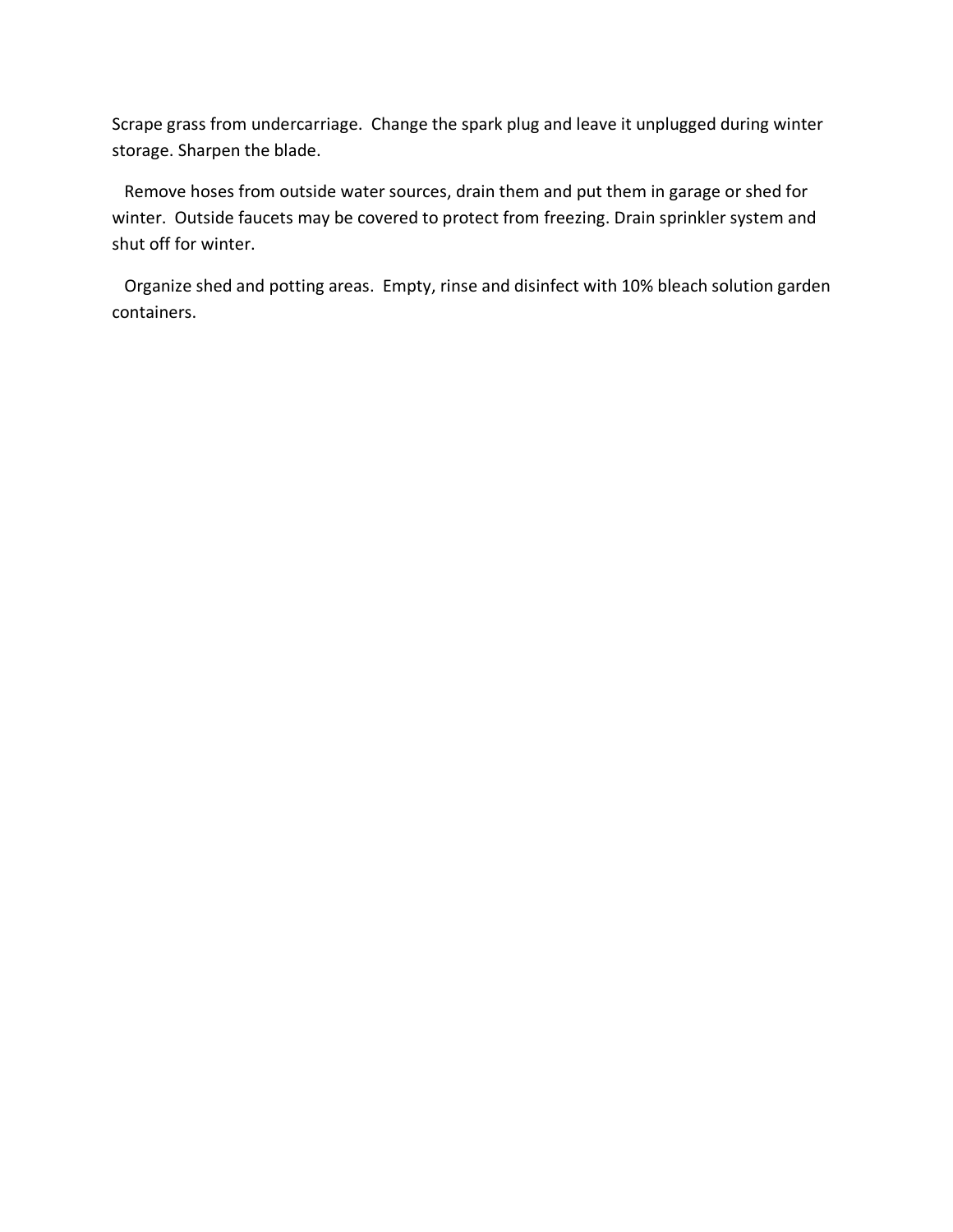Scrape grass from undercarriage. Change the spark plug and leave it unplugged during winter storage. Sharpen the blade.

 Remove hoses from outside water sources, drain them and put them in garage or shed for winter. Outside faucets may be covered to protect from freezing. Drain sprinkler system and shut off for winter.

 Organize shed and potting areas. Empty, rinse and disinfect with 10% bleach solution garden containers.